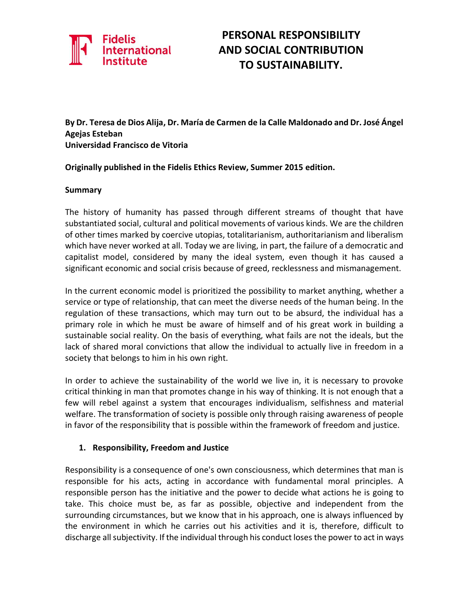

## **PERSONAL RESPONSIBILITY AND SOCIAL CONTRIBUTION TO SUSTAINABILITY.**

**By Dr. Teresa de Dios Alija, Dr. María de Carmen de la Calle Maldonado and Dr. José Ángel Agejas Esteban Universidad Francisco de Vitoria**

**Originally published in the Fidelis Ethics Review, Summer 2015 edition.**

#### **Summary**

The history of humanity has passed through different streams of thought that have substantiated social, cultural and political movements of various kinds. We are the children of other times marked by coercive utopias, totalitarianism, authoritarianism and liberalism which have never worked at all. Today we are living, in part, the failure of a democratic and capitalist model, considered by many the ideal system, even though it has caused a significant economic and social crisis because of greed, recklessness and mismanagement.

In the current economic model is prioritized the possibility to market anything, whether a service or type of relationship, that can meet the diverse needs of the human being. In the regulation of these transactions, which may turn out to be absurd, the individual has a primary role in which he must be aware of himself and of his great work in building a sustainable social reality. On the basis of everything, what fails are not the ideals, but the lack of shared moral convictions that allow the individual to actually live in freedom in a society that belongs to him in his own right.

In order to achieve the sustainability of the world we live in, it is necessary to provoke critical thinking in man that promotes change in his way of thinking. It is not enough that a few will rebel against a system that encourages individualism, selfishness and material welfare. The transformation of society is possible only through raising awareness of people in favor of the responsibility that is possible within the framework of freedom and justice.

#### **1. Responsibility, Freedom and Justice**

Responsibility is a consequence of one's own consciousness, which determines that man is responsible for his acts, acting in accordance with fundamental moral principles. A responsible person has the initiative and the power to decide what actions he is going to take. This choice must be, as far as possible, objective and independent from the surrounding circumstances, but we know that in his approach, one is always influenced by the environment in which he carries out his activities and it is, therefore, difficult to discharge all subjectivity. If the individual through his conduct loses the power to act in ways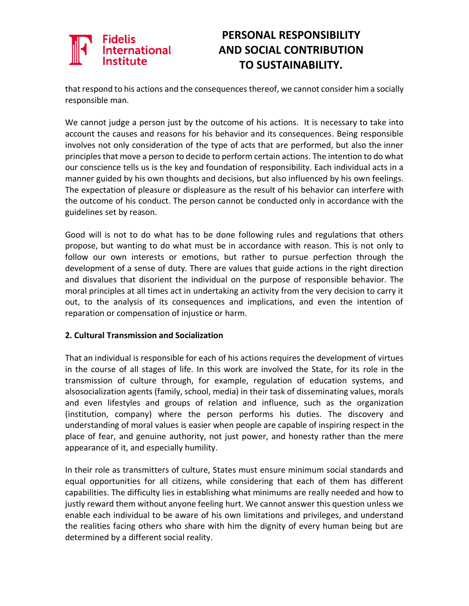## **Fidelis International**

## **PERSONAL RESPONSIBILITY AND SOCIAL CONTRIBUTION TO SUSTAINABILITY.**

that respond to his actions and the consequences thereof, we cannot consider him a socially responsible man.

We cannot judge a person just by the outcome of his actions. It is necessary to take into account the causes and reasons for his behavior and its consequences. Being responsible involves not only consideration of the type of acts that are performed, but also the inner principles that move a person to decide to perform certain actions. The intention to do what our conscience tells us is the key and foundation of responsibility. Each individual acts in a manner guided by his own thoughts and decisions, but also influenced by his own feelings. The expectation of pleasure or displeasure as the result of his behavior can interfere with the outcome of his conduct. The person cannot be conducted only in accordance with the guidelines set by reason.

Good will is not to do what has to be done following rules and regulations that others propose, but wanting to do what must be in accordance with reason. This is not only to follow our own interests or emotions, but rather to pursue perfection through the development of a sense of duty. There are values that guide actions in the right direction and disvalues that disorient the individual on the purpose of responsible behavior. The moral principles at all times act in undertaking an activity from the very decision to carry it out, to the analysis of its consequences and implications, and even the intention of reparation or compensation of injustice or harm.

#### **2. Cultural Transmission and Socialization**

That an individual is responsible for each of his actions requires the development of virtues in the course of all stages of life. In this work are involved the State, for its role in the transmission of culture through, for example, regulation of education systems, and alsosocialization agents (family, school, media) in their task of disseminating values, morals and even lifestyles and groups of relation and influence, such as the organization (institution, company) where the person performs his duties. The discovery and understanding of moral values is easier when people are capable of inspiring respect in the place of fear, and genuine authority, not just power, and honesty rather than the mere appearance of it, and especially humility.

In their role as transmitters of culture, States must ensure minimum social standards and equal opportunities for all citizens, while considering that each of them has different capabilities. The difficulty lies in establishing what minimums are really needed and how to justly reward them without anyone feeling hurt. We cannot answer this question unless we enable each individual to be aware of his own limitations and privileges, and understand the realities facing others who share with him the dignity of every human being but are determined by a different social reality.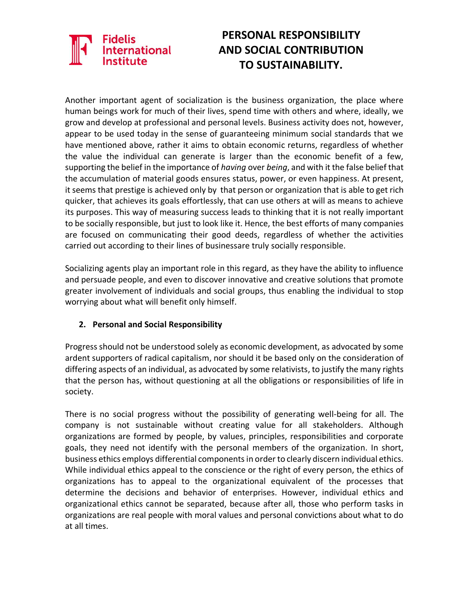## Fidelis International

## **PERSONAL RESPONSIBILITY AND SOCIAL CONTRIBUTION TO SUSTAINABILITY.**

Another important agent of socialization is the business organization, the place where human beings work for much of their lives, spend time with others and where, ideally, we grow and develop at professional and personal levels. Business activity does not, however, appear to be used today in the sense of guaranteeing minimum social standards that we have mentioned above, rather it aims to obtain economic returns, regardless of whether the value the individual can generate is larger than the economic benefit of a few, supporting the belief in the importance of *having* over *being*, and with it the false belief that the accumulation of material goods ensures status, power, or even happiness. At present, it seems that prestige is achieved only by that person or organization that is able to get rich quicker, that achieves its goals effortlessly, that can use others at will as means to achieve its purposes. This way of measuring success leads to thinking that it is not really important to be socially responsible, but just to look like it. Hence, the best efforts of many companies are focused on communicating their good deeds, regardless of whether the activities carried out according to their lines of businessare truly socially responsible.

Socializing agents play an important role in this regard, as they have the ability to influence and persuade people, and even to discover innovative and creative solutions that promote greater involvement of individuals and social groups, thus enabling the individual to stop worrying about what will benefit only himself.

#### **2. Personal and Social Responsibility**

Progress should not be understood solely as economic development, as advocated by some ardent supporters of radical capitalism, nor should it be based only on the consideration of differing aspects of an individual, as advocated by some relativists, to justify the many rights that the person has, without questioning at all the obligations or responsibilities of life in society.

There is no social progress without the possibility of generating well-being for all. The company is not sustainable without creating value for all stakeholders. Although organizations are formed by people, by values, principles, responsibilities and corporate goals, they need not identify with the personal members of the organization. In short, business ethics employs differential componentsin order to clearly discern individual ethics. While individual ethics appeal to the conscience or the right of every person, the ethics of organizations has to appeal to the organizational equivalent of the processes that determine the decisions and behavior of enterprises. However, individual ethics and organizational ethics cannot be separated, because after all, those who perform tasks in organizations are real people with moral values and personal convictions about what to do at all times.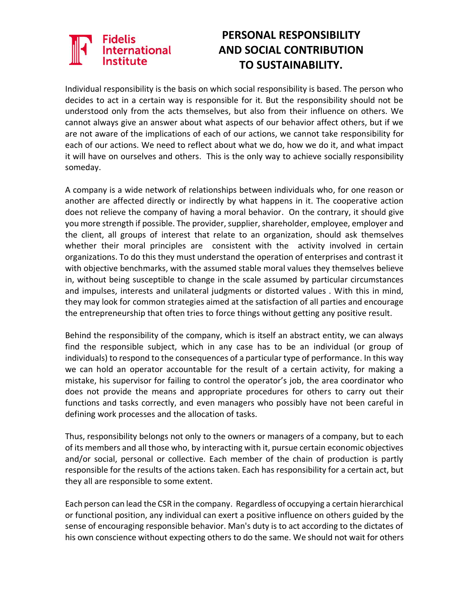# **International**

## **PERSONAL RESPONSIBILITY AND SOCIAL CONTRIBUTION TO SUSTAINABILITY.**

Individual responsibility is the basis on which social responsibility is based. The person who decides to act in a certain way is responsible for it. But the responsibility should not be understood only from the acts themselves, but also from their influence on others. We cannot always give an answer about what aspects of our behavior affect others, but if we are not aware of the implications of each of our actions, we cannot take responsibility for each of our actions. We need to reflect about what we do, how we do it, and what impact it will have on ourselves and others. This is the only way to achieve socially responsibility someday.

A company is a wide network of relationships between individuals who, for one reason or another are affected directly or indirectly by what happens in it. The cooperative action does not relieve the company of having a moral behavior. On the contrary, it should give you more strength if possible. The provider, supplier, shareholder, employee, employer and the client, all groups of interest that relate to an organization, should ask themselves whether their moral principles are consistent with the activity involved in certain organizations. To do this they must understand the operation of enterprises and contrast it with objective benchmarks, with the assumed stable moral values they themselves believe in, without being susceptible to change in the scale assumed by particular circumstances and impulses, interests and unilateral judgments or distorted values . With this in mind, they may look for common strategies aimed at the satisfaction of all parties and encourage the entrepreneurship that often tries to force things without getting any positive result.

Behind the responsibility of the company, which is itself an abstract entity, we can always find the responsible subject, which in any case has to be an individual (or group of individuals) to respond to the consequences of a particular type of performance. In this way we can hold an operator accountable for the result of a certain activity, for making a mistake, his supervisor for failing to control the operator's job, the area coordinator who does not provide the means and appropriate procedures for others to carry out their functions and tasks correctly, and even managers who possibly have not been careful in defining work processes and the allocation of tasks.

Thus, responsibility belongs not only to the owners or managers of a company, but to each of its members and all those who, by interacting with it, pursue certain economic objectives and/or social, personal or collective. Each member of the chain of production is partly responsible for the results of the actions taken. Each has responsibility for a certain act, but they all are responsible to some extent.

Each person can lead the CSR in the company. Regardless of occupying a certain hierarchical or functional position, any individual can exert a positive influence on others guided by the sense of encouraging responsible behavior. Man's duty is to act according to the dictates of his own conscience without expecting others to do the same. We should not wait for others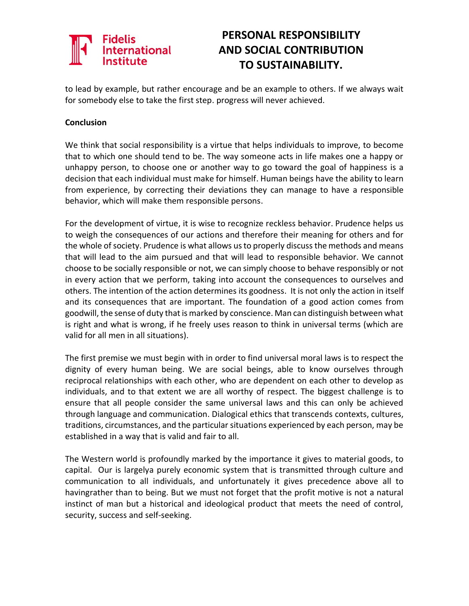# **International**

## **PERSONAL RESPONSIBILITY AND SOCIAL CONTRIBUTION TO SUSTAINABILITY.**

to lead by example, but rather encourage and be an example to others. If we always wait for somebody else to take the first step. progress will never achieved.

#### **Conclusion**

We think that social responsibility is a virtue that helps individuals to improve, to become that to which one should tend to be. The way someone acts in life makes one a happy or unhappy person, to choose one or another way to go toward the goal of happiness is a decision that each individual must make for himself. Human beings have the ability to learn from experience, by correcting their deviations they can manage to have a responsible behavior, which will make them responsible persons.

For the development of virtue, it is wise to recognize reckless behavior. Prudence helps us to weigh the consequences of our actions and therefore their meaning for others and for the whole of society. Prudence is what allows us to properly discuss the methods and means that will lead to the aim pursued and that will lead to responsible behavior. We cannot choose to be socially responsible or not, we can simply choose to behave responsibly or not in every action that we perform, taking into account the consequences to ourselves and others. The intention of the action determines its goodness. It is not only the action in itself and its consequences that are important. The foundation of a good action comes from goodwill, the sense of duty that is marked by conscience. Man can distinguish between what is right and what is wrong, if he freely uses reason to think in universal terms (which are valid for all men in all situations).

The first premise we must begin with in order to find universal moral laws is to respect the dignity of every human being. We are social beings, able to know ourselves through reciprocal relationships with each other, who are dependent on each other to develop as individuals, and to that extent we are all worthy of respect. The biggest challenge is to ensure that all people consider the same universal laws and this can only be achieved through language and communication. Dialogical ethics that transcends contexts, cultures, traditions, circumstances, and the particular situations experienced by each person, may be established in a way that is valid and fair to all.

The Western world is profoundly marked by the importance it gives to material goods, to capital. Our is largelya purely economic system that is transmitted through culture and communication to all individuals, and unfortunately it gives precedence above all to havingrather than to being. But we must not forget that the profit motive is not a natural instinct of man but a historical and ideological product that meets the need of control, security, success and self-seeking.